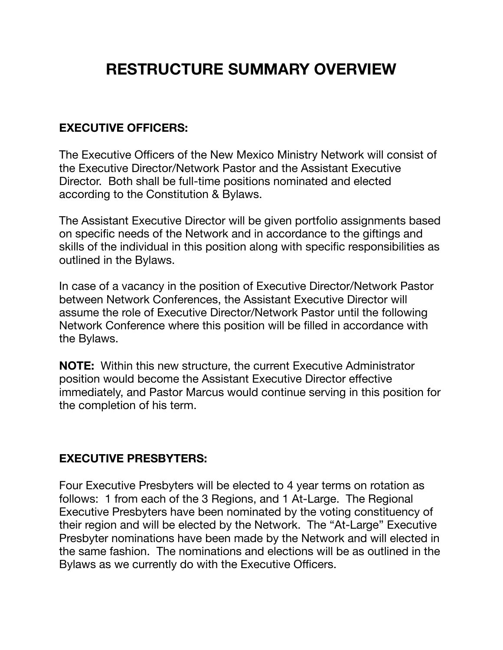# **RESTRUCTURE SUMMARY OVERVIEW**

# **EXECUTIVE OFFICERS:**

The Executive Officers of the New Mexico Ministry Network will consist of the Executive Director/Network Pastor and the Assistant Executive Director. Both shall be full-time positions nominated and elected according to the Constitution & Bylaws.

The Assistant Executive Director will be given portfolio assignments based on specific needs of the Network and in accordance to the giftings and skills of the individual in this position along with specific responsibilities as outlined in the Bylaws.

In case of a vacancy in the position of Executive Director/Network Pastor between Network Conferences, the Assistant Executive Director will assume the role of Executive Director/Network Pastor until the following Network Conference where this position will be filled in accordance with the Bylaws.

**NOTE:** Within this new structure, the current Executive Administrator position would become the Assistant Executive Director effective immediately, and Pastor Marcus would continue serving in this position for the completion of his term.

#### **EXECUTIVE PRESBYTERS:**

Four Executive Presbyters will be elected to 4 year terms on rotation as follows: 1 from each of the 3 Regions, and 1 At-Large. The Regional Executive Presbyters have been nominated by the voting constituency of their region and will be elected by the Network. The "At-Large" Executive Presbyter nominations have been made by the Network and will elected in the same fashion. The nominations and elections will be as outlined in the Bylaws as we currently do with the Executive Officers.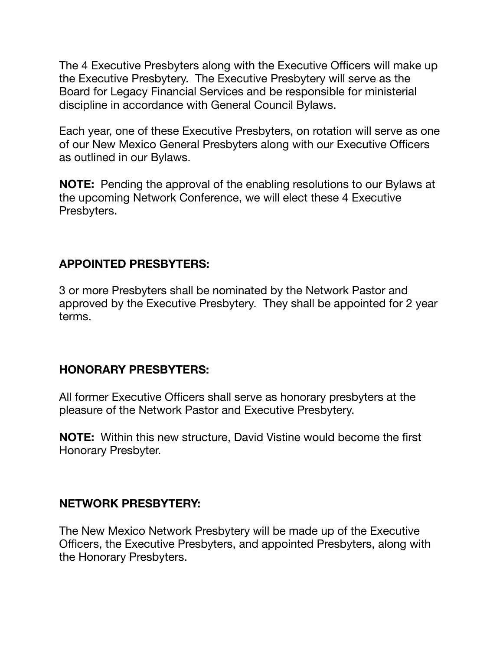The 4 Executive Presbyters along with the Executive Officers will make up the Executive Presbytery. The Executive Presbytery will serve as the Board for Legacy Financial Services and be responsible for ministerial discipline in accordance with General Council Bylaws.

Each year, one of these Executive Presbyters, on rotation will serve as one of our New Mexico General Presbyters along with our Executive Officers as outlined in our Bylaws.

**NOTE:** Pending the approval of the enabling resolutions to our Bylaws at the upcoming Network Conference, we will elect these 4 Executive Presbyters.

### **APPOINTED PRESBYTERS:**

3 or more Presbyters shall be nominated by the Network Pastor and approved by the Executive Presbytery. They shall be appointed for 2 year terms.

#### **HONORARY PRESBYTERS:**

All former Executive Officers shall serve as honorary presbyters at the pleasure of the Network Pastor and Executive Presbytery.

**NOTE:** Within this new structure, David Vistine would become the first Honorary Presbyter.

#### **NETWORK PRESBYTERY:**

The New Mexico Network Presbytery will be made up of the Executive Officers, the Executive Presbyters, and appointed Presbyters, along with the Honorary Presbyters.